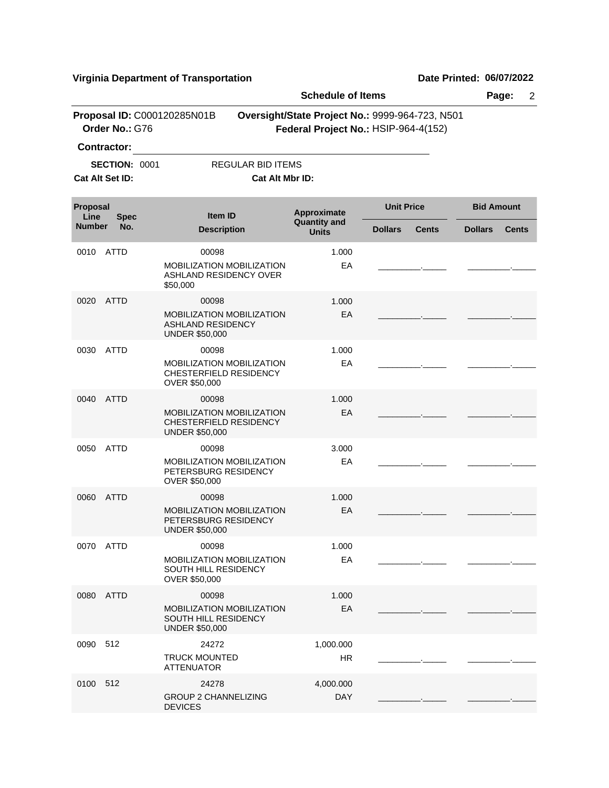**Virginia Department of Transportation Date Printed: 06/07/2022**

|                                        | <b>Schedule of Items</b>                |                                                            |                                                            |                                                                                         |                   |              | Page:<br>$\overline{2}$ |              |  |
|----------------------------------------|-----------------------------------------|------------------------------------------------------------|------------------------------------------------------------|-----------------------------------------------------------------------------------------|-------------------|--------------|-------------------------|--------------|--|
|                                        | Order No.: G76<br>Contractor:           | Proposal ID: C000120285N01B                                |                                                            | Oversight/State Project No.: 9999-964-723, N501<br>Federal Project No.: HSIP-964-4(152) |                   |              |                         |              |  |
|                                        | <b>SECTION: 0001</b><br>Cat Alt Set ID: |                                                            | <b>REGULAR BID ITEMS</b><br>Cat Alt Mbr ID:                |                                                                                         |                   |              |                         |              |  |
| <b>Proposal</b><br>Line<br><b>Spec</b> |                                         |                                                            | <b>Item ID</b>                                             | Approximate                                                                             | <b>Unit Price</b> |              | <b>Bid Amount</b>       |              |  |
| <b>Number</b>                          | No.                                     |                                                            | <b>Description</b>                                         | <b>Quantity and</b><br><b>Units</b>                                                     | <b>Dollars</b>    | <b>Cents</b> | <b>Dollars</b>          | <b>Cents</b> |  |
| 0010                                   | <b>ATTD</b>                             | 00098<br>\$50,000                                          | <b>MOBILIZATION MOBILIZATION</b><br>ASHLAND RESIDENCY OVER | 1.000<br>EA                                                                             |                   |              |                         |              |  |
| 0020                                   | <b>ATTD</b>                             | 00098<br><b>ASHLAND RESIDENCY</b><br><b>UNDER \$50,000</b> | <b>MOBILIZATION MOBILIZATION</b>                           | 1.000<br>EA                                                                             |                   |              |                         |              |  |
| 0030                                   | <b>ATTD</b>                             | 00098<br>OVER \$50,000                                     | <b>MOBILIZATION MOBILIZATION</b><br>CHESTERFIELD RESIDENCY | 1.000<br>EA                                                                             |                   |              |                         |              |  |
| 0040                                   | <b>ATTD</b>                             | 00098<br><b>UNDER \$50,000</b>                             | MOBILIZATION MOBILIZATION<br>CHESTERFIELD RESIDENCY        | 1.000<br>EA                                                                             |                   |              |                         |              |  |
| 0050                                   | <b>ATTD</b>                             | 00098<br>OVER \$50,000                                     | MOBILIZATION MOBILIZATION<br>PETERSBURG RESIDENCY          | 3.000<br>EA                                                                             |                   |              |                         |              |  |
| 0060                                   | <b>ATTD</b>                             | 00098<br><b>UNDER \$50,000</b>                             | MOBILIZATION MOBILIZATION<br>PETERSBURG RESIDENCY          | 1.000<br>EA                                                                             |                   |              |                         |              |  |
|                                        | 0070 ATTD                               | 00098<br>SOUTH HILL RESIDENCY<br>OVER \$50,000             | MOBILIZATION MOBILIZATION                                  | 1.000<br>EA                                                                             |                   |              |                         |              |  |
|                                        | 0080 ATTD                               | 00098<br>SOUTH HILL RESIDENCY<br><b>UNDER \$50,000</b>     | MOBILIZATION MOBILIZATION                                  | 1.000<br>EA                                                                             |                   |              |                         |              |  |
| 0090                                   | 512                                     | 24272<br><b>TRUCK MOUNTED</b><br><b>ATTENUATOR</b>         |                                                            | 1,000.000<br><b>HR</b>                                                                  |                   |              |                         |              |  |
| 0100                                   | 512                                     | 24278<br><b>DEVICES</b>                                    | <b>GROUP 2 CHANNELIZING</b>                                | 4,000.000<br><b>DAY</b>                                                                 |                   |              |                         |              |  |